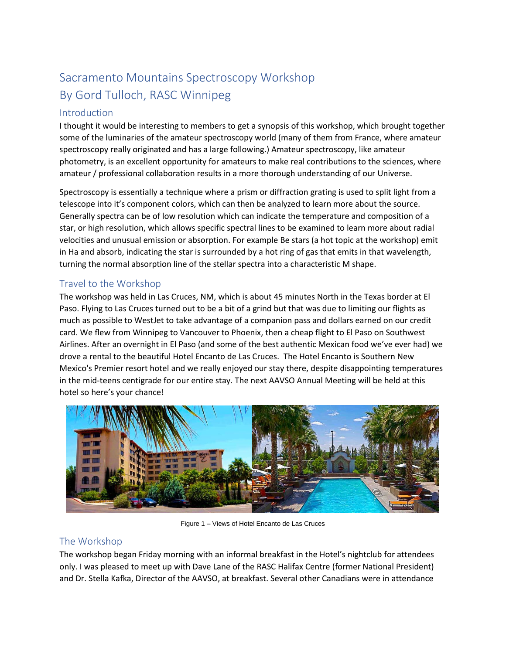# Sacramento Mountains Spectroscopy Workshop By Gord Tulloch, RASC Winnipeg

## Introduction

I thought it would be interesting to members to get a synopsis of this workshop, which brought together some of the luminaries of the amateur spectroscopy world (many of them from France, where amateur spectroscopy really originated and has a large following.) Amateur spectroscopy, like amateur photometry, is an excellent opportunity for amateurs to make real contributions to the sciences, where amateur / professional collaboration results in a more thorough understanding of our Universe.

Spectroscopy is essentially a technique where a prism or diffraction grating is used to split light from a telescope into it's component colors, which can then be analyzed to learn more about the source. Generally spectra can be of low resolution which can indicate the temperature and composition of a star, or high resolution, which allows specific spectral lines to be examined to learn more about radial velocities and unusual emission or absorption. For example Be stars (a hot topic at the workshop) emit in Ha and absorb, indicating the star is surrounded by a hot ring of gas that emits in that wavelength, turning the normal absorption line of the stellar spectra into a characteristic M shape.

# Travel to the Workshop

The workshop was held in Las Cruces, NM, which is about 45 minutes North in the Texas border at El Paso. Flying to Las Cruces turned out to be a bit of a grind but that was due to limiting our flights as much as possible to WestJet to take advantage of a companion pass and dollars earned on our credit card. We flew from Winnipeg to Vancouver to Phoenix, then a cheap flight to El Paso on Southwest Airlines. After an overnight in El Paso (and some of the best authentic Mexican food we've ever had) we drove a rental to the beautiful Hotel Encanto de Las Cruces. The Hotel Encanto is Southern New Mexico's Premier resort hotel and we really enjoyed our stay there, despite disappointing temperatures in the mid-teens centigrade for our entire stay. The next AAVSO Annual Meeting will be held at this hotel so here's your chance!



Figure 1 – Views of Hotel Encanto de Las Cruces

# The Workshop

The workshop began Friday morning with an informal breakfast in the Hotel's nightclub for attendees only. I was pleased to meet up with Dave Lane of the RASC Halifax Centre (former National President) and Dr. Stella Kafka, Director of the AAVSO, at breakfast. Several other Canadians were in attendance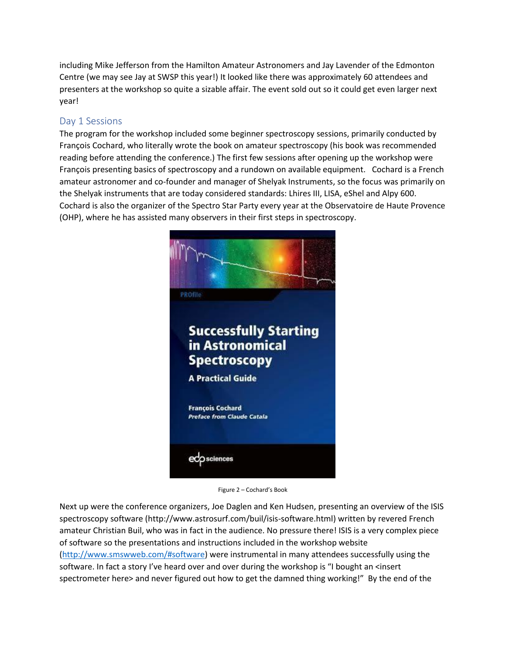including Mike Jefferson from the Hamilton Amateur Astronomers and Jay Lavender of the Edmonton Centre (we may see Jay at SWSP this year!) It looked like there was approximately 60 attendees and presenters at the workshop so quite a sizable affair. The event sold out so it could get even larger next year!

# Day 1 Sessions

The program for the workshop included some beginner spectroscopy sessions, primarily conducted by François Cochard, who literally wrote the book on amateur spectroscopy (his book was recommended reading before attending the conference.) The first few sessions after opening up the workshop were François presenting basics of spectroscopy and a rundown on available equipment. Cochard is a French amateur astronomer and co-founder and manager of Shelyak Instruments, so the focus was primarily on the Shelyak instruments that are today considered standards: Lhires III, LISA, eShel and Alpy 600. Cochard is also the organizer of the Spectro Star Party every year at the Observatoire de Haute Provence (OHP), where he has assisted many observers in their first steps in spectroscopy.



Figure 2 – Cochard's Book

Next up were the conference organizers, Joe Daglen and Ken Hudsen, presenting an overview of the ISIS spectroscopy software (http://www.astrosurf.com/buil/isis-software.html) written by revered French amateur Christian Buil, who was in fact in the audience. No pressure there! ISIS is a very complex piece of software so the presentations and instructions included in the workshop website [\(http://www.smswweb.com/#software\)](http://www.smswweb.com/#software) were instrumental in many attendees successfully using the software. In fact a story I've heard over and over during the workshop is "I bought an <insert spectrometer here> and never figured out how to get the damned thing working!" By the end of the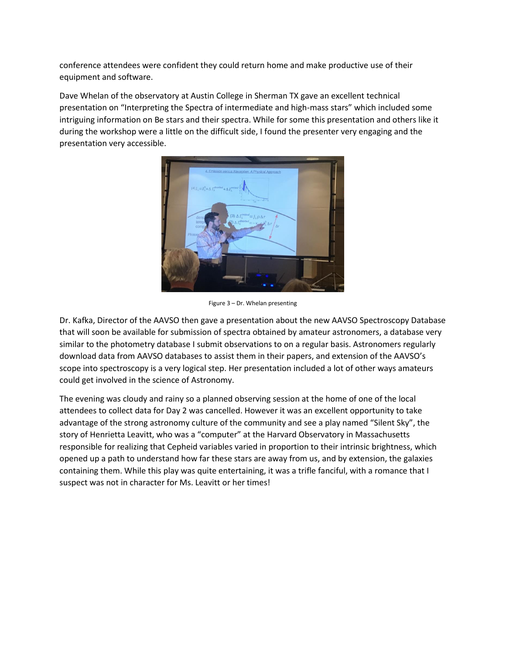conference attendees were confident they could return home and make productive use of their equipment and software.

Dave Whelan of the observatory at Austin College in Sherman TX gave an excellent technical presentation on "Interpreting the Spectra of intermediate and high-mass stars" which included some intriguing information on Be stars and their spectra. While for some this presentation and others like it during the workshop were a little on the difficult side, I found the presenter very engaging and the presentation very accessible.



Figure 3 – Dr. Whelan presenting

Dr. Kafka, Director of the AAVSO then gave a presentation about the new AAVSO Spectroscopy Database that will soon be available for submission of spectra obtained by amateur astronomers, a database very similar to the photometry database I submit observations to on a regular basis. Astronomers regularly download data from AAVSO databases to assist them in their papers, and extension of the AAVSO's scope into spectroscopy is a very logical step. Her presentation included a lot of other ways amateurs could get involved in the science of Astronomy.

The evening was cloudy and rainy so a planned observing session at the home of one of the local attendees to collect data for Day 2 was cancelled. However it was an excellent opportunity to take advantage of the strong astronomy culture of the community and see a play named "Silent Sky", the story of Henrietta Leavitt, who was a "computer" at the Harvard Observatory in Massachusetts responsible for realizing that Cepheid variables varied in proportion to their intrinsic brightness, which opened up a path to understand how far these stars are away from us, and by extension, the galaxies containing them. While this play was quite entertaining, it was a trifle fanciful, with a romance that I suspect was not in character for Ms. Leavitt or her times!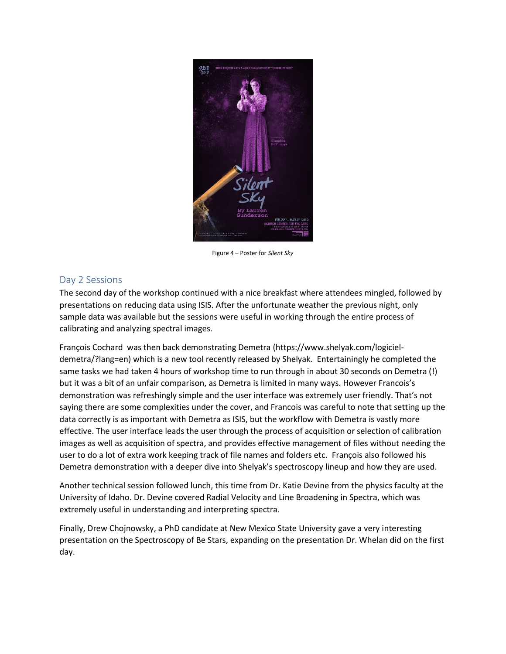

Figure 4 – Poster for *Silent Sky*

#### Day 2 Sessions

The second day of the workshop continued with a nice breakfast where attendees mingled, followed by presentations on reducing data using ISIS. After the unfortunate weather the previous night, only sample data was available but the sessions were useful in working through the entire process of calibrating and analyzing spectral images.

François Cochard was then back demonstrating Demetra (https://www.shelyak.com/logicieldemetra/?lang=en) which is a new tool recently released by Shelyak. Entertainingly he completed the same tasks we had taken 4 hours of workshop time to run through in about 30 seconds on Demetra (!) but it was a bit of an unfair comparison, as Demetra is limited in many ways. However Francois's demonstration was refreshingly simple and the user interface was extremely user friendly. That's not saying there are some complexities under the cover, and Francois was careful to note that setting up the data correctly is as important with Demetra as ISIS, but the workflow with Demetra is vastly more effective. The user interface leads the user through the process of acquisition or selection of calibration images as well as acquisition of spectra, and provides effective management of files without needing the user to do a lot of extra work keeping track of file names and folders etc. François also followed his Demetra demonstration with a deeper dive into Shelyak's spectroscopy lineup and how they are used.

Another technical session followed lunch, this time from Dr. Katie Devine from the physics faculty at the University of Idaho. Dr. Devine covered Radial Velocity and Line Broadening in Spectra, which was extremely useful in understanding and interpreting spectra.

Finally, Drew Chojnowsky, a PhD candidate at New Mexico State University gave a very interesting presentation on the Spectroscopy of Be Stars, expanding on the presentation Dr. Whelan did on the first day.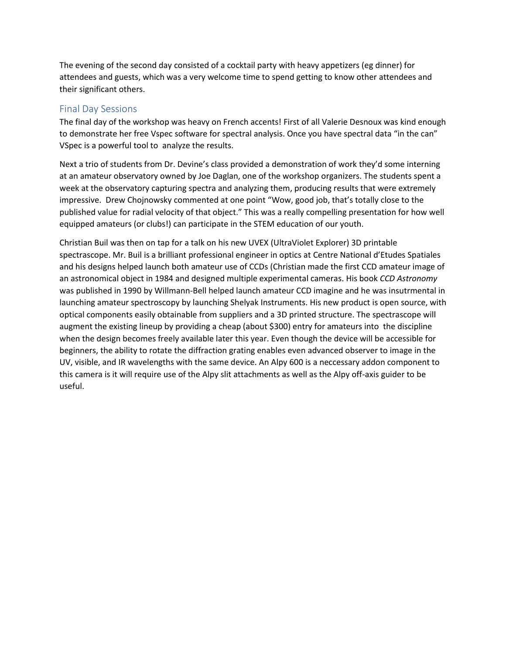The evening of the second day consisted of a cocktail party with heavy appetizers (eg dinner) for attendees and guests, which was a very welcome time to spend getting to know other attendees and their significant others.

#### Final Day Sessions

The final day of the workshop was heavy on French accents! First of all Valerie Desnoux was kind enough to demonstrate her free Vspec software for spectral analysis. Once you have spectral data "in the can" VSpec is a powerful tool to analyze the results.

Next a trio of students from Dr. Devine's class provided a demonstration of work they'd some interning at an amateur observatory owned by Joe Daglan, one of the workshop organizers. The students spent a week at the observatory capturing spectra and analyzing them, producing results that were extremely impressive. Drew Chojnowsky commented at one point "Wow, good job, that's totally close to the published value for radial velocity of that object." This was a really compelling presentation for how well equipped amateurs (or clubs!) can participate in the STEM education of our youth.

Christian Buil was then on tap for a talk on his new UVEX (UltraViolet Explorer) 3D printable spectrascope. Mr. Buil is a brilliant professional engineer in optics at Centre National d'Etudes Spatiales and his designs helped launch both amateur use of CCDs (Christian made the first CCD amateur image of an astronomical object in 1984 and designed multiple experimental cameras. His book *CCD Astronomy* was published in 1990 by Willmann-Bell helped launch amateur CCD imagine and he was insutrmental in launching amateur spectroscopy by launching Shelyak Instruments. His new product is open source, with optical components easily obtainable from suppliers and a 3D printed structure. The spectrascope will augment the existing lineup by providing a cheap (about \$300) entry for amateurs into the discipline when the design becomes freely available later this year. Even though the device will be accessible for beginners, the ability to rotate the diffraction grating enables even advanced observer to image in the UV, visible, and IR wavelengths with the same device. An Alpy 600 is a neccessary addon component to this camera is it will require use of the Alpy slit attachments as well as the Alpy off-axis guider to be useful.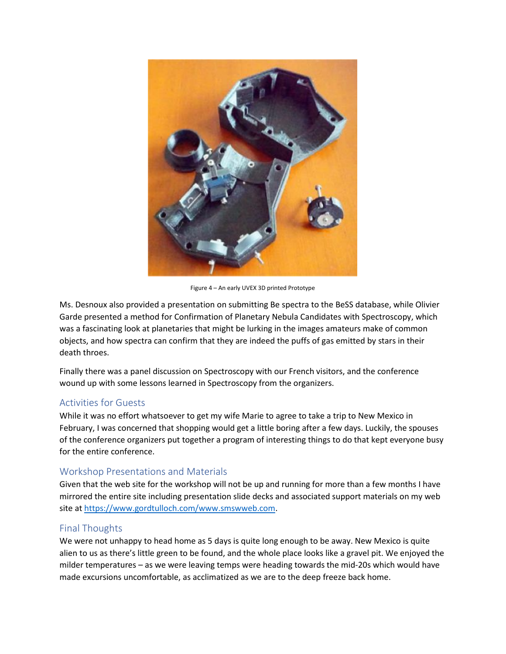

Figure 4 – An early UVEX 3D printed Prototype

Ms. Desnoux also provided a presentation on submitting Be spectra to the BeSS database, while Olivier Garde presented a method for Confirmation of Planetary Nebula Candidates with Spectroscopy, which was a fascinating look at planetaries that might be lurking in the images amateurs make of common objects, and how spectra can confirm that they are indeed the puffs of gas emitted by stars in their death throes.

Finally there was a panel discussion on Spectroscopy with our French visitors, and the conference wound up with some lessons learned in Spectroscopy from the organizers.

## Activities for Guests

While it was no effort whatsoever to get my wife Marie to agree to take a trip to New Mexico in February, I was concerned that shopping would get a little boring after a few days. Luckily, the spouses of the conference organizers put together a program of interesting things to do that kept everyone busy for the entire conference.

## Workshop Presentations and Materials

Given that the web site for the workshop will not be up and running for more than a few months I have mirrored the entire site including presentation slide decks and associated support materials on my web site at [https://www.gordtulloch.com/www.smswweb.com.](https://www.gordtulloch.com/www.smswweb.com)

## Final Thoughts

We were not unhappy to head home as 5 days is quite long enough to be away. New Mexico is quite alien to us as there's little green to be found, and the whole place looks like a gravel pit. We enjoyed the milder temperatures – as we were leaving temps were heading towards the mid-20s which would have made excursions uncomfortable, as acclimatized as we are to the deep freeze back home.